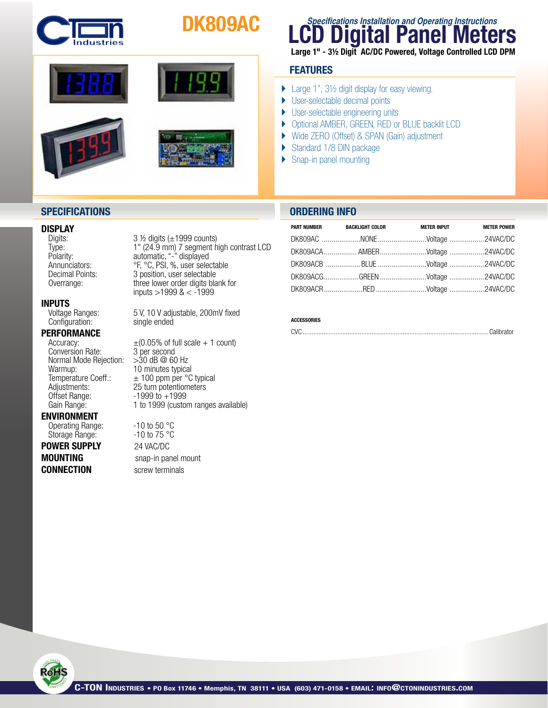

# DK809AC



### **SPECIFICATIONS ORDERING INFO**

**INPUTS**<br>Voltage Ranges: Configuration:

## **PERFORMANCE**<br>Accuracy:

Conversion Rate: 3 per second<br>Normal Mode Rejection: > 30 dB @ 60 Hz Normal Mode Rejection:<br>Warmup: Warmup:  $\begin{array}{r} \sim \sim 10 \text{ minutes typical} \\ \text{Temperature Coeff.}: \quad \pm 100 \text{ ppm per }^{\circ}\text{C} \end{array}$ 

#### ENVIRONMENT

Storage Range:

## **POWER SUPPLY** 24 VAC/DC **CONNECTION** screw terminals

**DISPLAY**<br>Digits:  $3 \frac{1}{2}$  digits (±1999 counts) Type: 1" (24.9 mm) 7 segment high contrast LCD<br>Polarity: automatic, "-" displayed Polarity: automatic,"-" displayed Annunciators: <sup>org</sup>, <sup>o</sup>C, PSI, %, user selectable Decimal Points: 3 position, user selectable Overrange: three lower order digits blank for inputs >1999 & < -1999

5 V, 10 V adjustable, 200mV fixed single ended

 $\pm$ (0.05% of full scale + 1 count) Temperature Coeff.:  $\pm 100$  ppm per °C typical<br>Adjustments: 25 turn potentiometers Adjustments: 25 turn potentiometers<br>Offset Range: 1999 to +1999  $-1999$  to  $+1999$ Gain Range: 1 to 1999 (custom ranges available)

Operating Range:  $-10$  to 50 °C<br>Storage Range:  $-10$  to 75 °C **MOUNTING** snap-in panel mount

## **Digital Panel Meters Specifications Installation and Operating Instructions**

Large 1" - 3½ Digit AC/DC Powered, Voltage Controlled LCD DPM

### **FEATURES**

- ▶ Large 1", 3½ digit display for easy viewing.
- ▶ User-selectable decimal points
- ▶ User-selectable engineering units
- } Optional AMBER, GREEN, RED or BLUE backlit LCD
- } Wide ZERO (Offset) & SPAN (Gain) adjustment
- ▶ Standard 1/8 DIN package
- ▶ Snap-in panel mounting

| PART NUMBER BACKLIGHT COLOR | <b>METER INPUT</b>             | <b>METER POWER</b> |
|-----------------------------|--------------------------------|--------------------|
|                             |                                |                    |
|                             |                                |                    |
|                             | DK809ACB BLUE Voltage 24VAC/DC |                    |
|                             |                                |                    |
|                             |                                |                    |

#### **ACCESSORIES**

CVC ............................................................................................................Calibrator